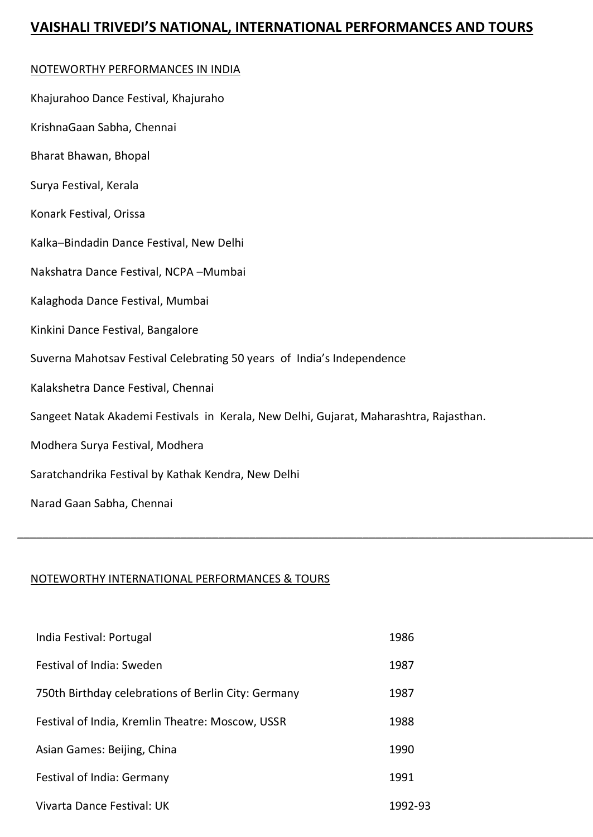## **VAISHALI TRIVEDI'S NATIONAL, INTERNATIONAL PERFORMANCES AND TOURS**

## NOTEWORTHY PERFORMANCES IN INDIA

| Khajurahoo Dance Festival, Khajuraho                                                   |
|----------------------------------------------------------------------------------------|
| KrishnaGaan Sabha, Chennai                                                             |
| Bharat Bhawan, Bhopal                                                                  |
| Surya Festival, Kerala                                                                 |
| Konark Festival, Orissa                                                                |
| Kalka-Bindadin Dance Festival, New Delhi                                               |
| Nakshatra Dance Festival, NCPA-Mumbai                                                  |
| Kalaghoda Dance Festival, Mumbai                                                       |
| Kinkini Dance Festival, Bangalore                                                      |
| Suverna Mahotsav Festival Celebrating 50 years of India's Independence                 |
| Kalakshetra Dance Festival, Chennai                                                    |
| Sangeet Natak Akademi Festivals in Kerala, New Delhi, Gujarat, Maharashtra, Rajasthan. |
| Modhera Surya Festival, Modhera                                                        |
| Saratchandrika Festival by Kathak Kendra, New Delhi                                    |
| Narad Gaan Sabha, Chennai                                                              |

\_\_\_\_\_\_\_\_\_\_\_\_\_\_\_\_\_\_\_\_\_\_\_\_\_\_\_\_\_\_\_\_\_\_\_\_\_\_\_\_\_\_\_\_\_\_\_\_\_\_\_\_\_\_\_\_\_\_\_\_\_\_\_\_\_\_\_\_\_\_\_\_\_\_\_\_\_\_\_\_\_\_\_\_\_\_\_\_\_\_\_\_\_\_\_\_\_

## NOTEWORTHY INTERNATIONAL PERFORMANCES & TOURS

| India Festival: Portugal                            | 1986    |
|-----------------------------------------------------|---------|
| Festival of India: Sweden                           | 1987    |
| 750th Birthday celebrations of Berlin City: Germany | 1987    |
| Festival of India, Kremlin Theatre: Moscow, USSR    | 1988    |
| Asian Games: Beijing, China                         | 1990    |
| Festival of India: Germany                          | 1991    |
| Vivarta Dance Festival: UK                          | 1992-93 |